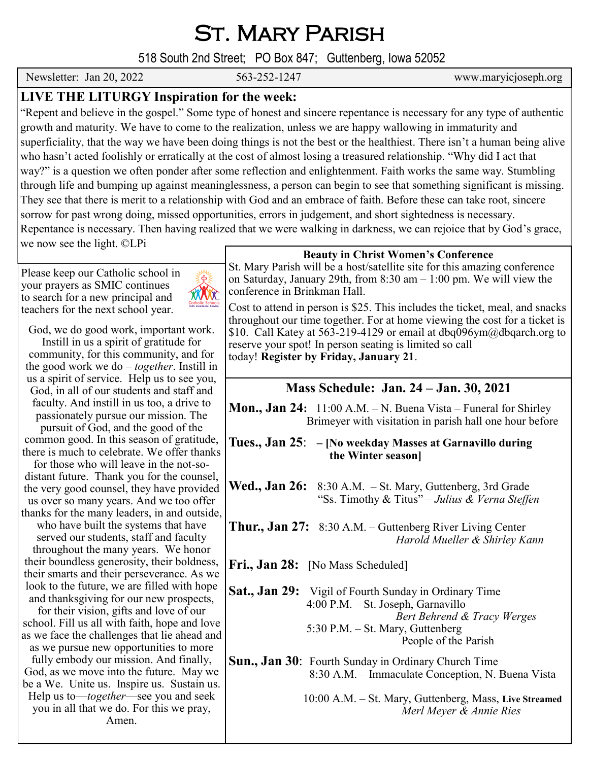St. Mary Parish

518 South 2nd Street; PO Box 847; Guttenberg, Iowa 52052

Newsletter: Jan 20, 2022 563-252-1247 www.maryicjoseph.org

## **LIVE THE LITURGY Inspiration for the week:**

"Repent and believe in the gospel." Some type of honest and sincere repentance is necessary for any type of authentic growth and maturity. We have to come to the realization, unless we are happy wallowing in immaturity and superficiality, that the way we have been doing things is not the best or the healthiest. There isn't a human being alive who hasn't acted foolishly or erratically at the cost of almost losing a treasured relationship. "Why did I act that way?" is a question we often ponder after some reflection and enlightenment. Faith works the same way. Stumbling through life and bumping up against meaninglessness, a person can begin to see that something significant is missing. They see that there is merit to a relationship with God and an embrace of faith. Before these can take root, sincere sorrow for past wrong doing, missed opportunities, errors in judgement, and short sightedness is necessary. Repentance is necessary. Then having realized that we were walking in darkness, we can rejoice that by God's grace, we now see the light. ©LPi

Please keep our Catholic school in your prayers as SMIC continues to search for a new principal and teachers for the next school year.



God, we do good work, important work.

Instill in us a spirit of gratitude for community, for this community, and for the good work we do – *together*. Instill in us a spirit of service. Help us to see you, God, in all of our students and staff and faculty. And instill in us too, a drive to passionately pursue our mission. The pursuit of God, and the good of the common good. In this season of gratitude, there is much to celebrate. We offer thanks

for those who will leave in the not-sodistant future. Thank you for the counsel, the very good counsel, they have provided us over so many years. And we too offer thanks for the many leaders, in and outside,

who have built the systems that have served our students, staff and faculty throughout the many years. We honor their boundless generosity, their boldness, their smarts and their perseverance. As we look to the future, we are filled with hope and thanksgiving for our new prospects,

for their vision, gifts and love of our school. Fill us all with faith, hope and love as we face the challenges that lie ahead and

as we pursue new opportunities to more fully embody our mission. And finally, God, as we move into the future. May we be a We. Unite us. Inspire us. Sustain us. Help us to—*together*—see you and seek you in all that we do. For this we pray, Amen.

## **Beauty in Christ Women's Conference**

St. Mary Parish will be a host/satellite site for this amazing conference on Saturday, January 29th, from 8:30 am – 1:00 pm. We will view the conference in Brinkman Hall.

Cost to attend in person is \$25. This includes the ticket, meal, and snacks throughout our time together. For at home viewing the cost for a ticket is \$10. Call Katey at 563-219-4129 or email at dbq096ym@dbqarch.org to reserve your spot! In person seating is limited so call today! **Register by Friday, January 21**.

## **Mass Schedule: Jan. 24 – Jan. 30, 2021**

**Mon., Jan 24:** 11:00 A.M. – N. Buena Vista – Funeral for Shirley Brimeyer with visitation in parish hall one hour before

- **Tues., Jan 25**: **– [No weekday Masses at Garnavillo during the Winter season]**
- Wed., Jan 26: 8:30 A.M. St. Mary, Guttenberg, 3rd Grade "Ss. Timothy & Titus" – *Julius & Verna Steffen*
- **Thur., Jan 27:** 8:30 A.M. Guttenberg River Living Center *Harold Mueller & Shirley Kann*
- Fri., Jan 28: [No Mass Scheduled]
- Sat., Jan 29: Vigil of Fourth Sunday in Ordinary Time 4:00 P.M. – St. Joseph, Garnavillo *Bert Behrend & Tracy Werges*  5:30 P.M. – St. Mary, Guttenberg People of the Parish
- **Sun., Jan 30**: Fourth Sunday in Ordinary Church Time 8:30 A.M. – Immaculate Conception, N. Buena Vista

 10:00 A.M. – St. Mary, Guttenberg, Mass, **Live Streamed** *Merl Meyer & Annie Ries*